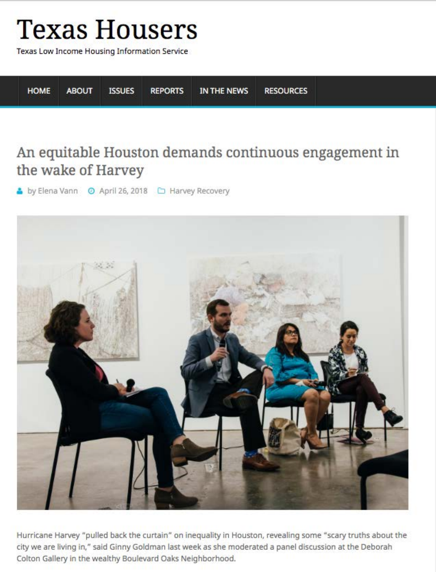# **Texas Housers**

Texas Low Income Housing Information Service

**HOME ISSUES RESOURCES ABOUT REPORTS** IN THE NEWS

# An equitable Houston demands continuous engagement in the wake of Harvey



Hurricane Harvey "pulled back the curtain" on inequality in Houston, revealing some "scary truths about the city we are living in," said Ginny Goldman last week as she moderated a panel discussion at the Deborah Colton Gallery in the wealthy Boulevard Oaks Neighborhood.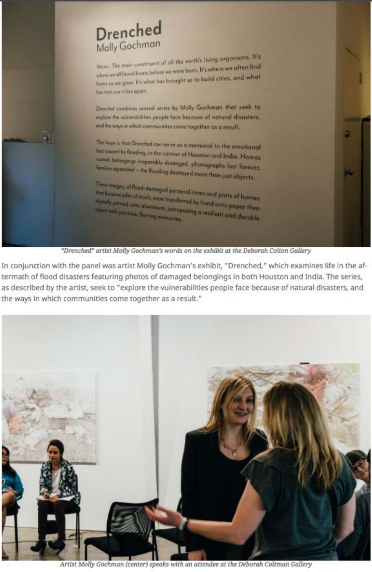# Drenched Molly Gochman

Water. The main constituent of all the earth's living organisms. It's where we all found home before we were born. It's where we often find home as we grow. It's what has brought us to build cities, and what has torn our cities apart.

Drenched combines several series by Molly Gochman that seek to explore the vulnerabilities people face because of natural disasters, and the ways in which communities come together as a result.

The hape is that Dreached can serve as a memorial to the emotional lass caused by flooding, in the context of Houston and India. Homes naned, belongings irreparably damaged, photographs lost forever, families separated - the flooding destroyed more than just objects.

These images, of flood-damaged personal items and parts of harnes that become piles of trash, were transferred by hand onto paper then digitally printed anto aluminum, juxtoposing a resilient and durable object with precious, floating memories.



In conjunction with the panel was artist Molly Gochman's exhibit, "Drenched," which examines life in the aftermath of flood disasters featuring photos of damaged belongings in both Houston and India. The series, as described by the artist, seek to "explore the vulnerabilities people face because of natural disasters, and the ways in which communities come together as a result."



Artist Molly Gochman (center) speaks with an attendee at the Deborah Coltman Gallery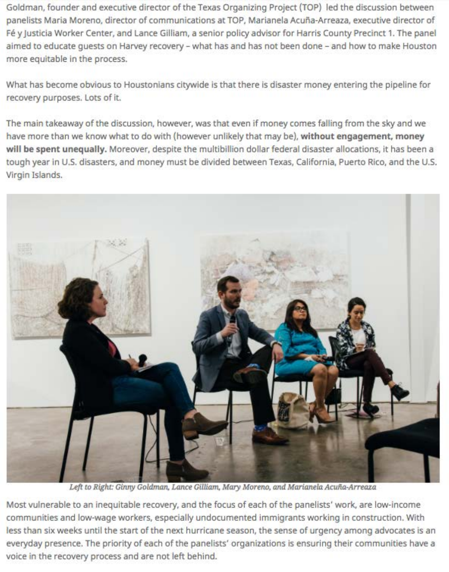Goldman, founder and executive director of the Texas Organizing Project (TOP) led the discussion between panelists Maria Moreno, director of communications at TOP, Marianela Acuña-Arreaza, executive director of Fé y Justicia Worker Center, and Lance Gilliam, a senior policy advisor for Harris County Precinct 1. The panel aimed to educate quests on Harvey recovery - what has and has not been done - and how to make Houston more equitable in the process.

What has become obvious to Houstonians citywide is that there is disaster money entering the pipeline for recovery purposes. Lots of it.

The main takeaway of the discussion, however, was that even if money comes falling from the sky and we have more than we know what to do with (however unlikely that may be), without engagement, money will be spent unequally. Moreover, despite the multibillion dollar federal disaster allocations, it has been a tough year in U.S. disasters, and money must be divided between Texas, California, Puerto Rico, and the U.S. Virgin Islands.



Left to Right: Ginny Goldman, Lance Gilliam, Mary Moreno, and Marianela Acuña-Arreaza

Most vulnerable to an inequitable recovery, and the focus of each of the panelists' work, are low-income communities and low-wage workers, especially undocumented immigrants working in construction. With less than six weeks until the start of the next hurricane season, the sense of urgency among advocates is an everyday presence. The priority of each of the panelists' organizations is ensuring their communities have a voice in the recovery process and are not left behind.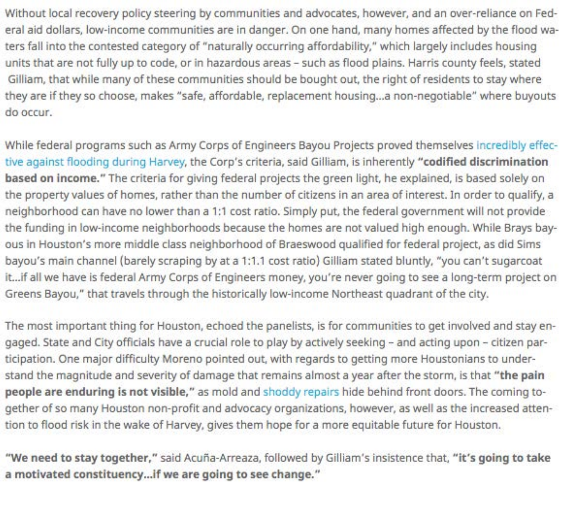Without local recovery policy steering by communities and advocates, however, and an over-reliance on Federal aid dollars, low-income communities are in danger. On one hand, many homes affected by the flood waters fall into the contested category of "naturally occurring affordability," which largely includes housing units that are not fully up to code, or in hazardous areas - such as flood plains. Harris county feels, stated Gilliam, that while many of these communities should be bought out, the right of residents to stay where they are if they so choose, makes "safe, affordable, replacement housing...a non-negotiable" where buyouts do occur.

While federal programs such as Army Corps of Engineers Bayou Projects proved themselves incredibly effective against flooding during Harvey, the Corp's criteria, said Gilliam, is inherently "codified discrimination based on income." The criteria for giving federal projects the green light, he explained, is based solely on the property values of homes, rather than the number of citizens in an area of interest. In order to qualify, a neighborhood can have no lower than a 1:1 cost ratio. Simply put, the federal government will not provide the funding in low-income neighborhoods because the homes are not valued high enough. While Brays bayous in Houston's more middle class neighborhood of Braeswood qualified for federal project, as did Sims bayou's main channel (barely scraping by at a 1:1.1 cost ratio) Gilliam stated bluntly, "you can't sugarcoat it...if all we have is federal Army Corps of Engineers money, you're never going to see a long-term project on Greens Bayou," that travels through the historically low-income Northeast quadrant of the city.

The most important thing for Houston, echoed the panelists, is for communities to get involved and stay engaged. State and City officials have a crucial role to play by actively seeking - and acting upon - citizen participation. One major difficulty Moreno pointed out, with regards to getting more Houstonians to understand the magnitude and severity of damage that remains almost a year after the storm, is that "the pain people are enduring is not visible," as mold and shoddy repairs hide behind front doors. The coming together of so many Houston non-profit and advocacy organizations, however, as well as the increased attention to flood risk in the wake of Harvey, gives them hope for a more equitable future for Houston.

"We need to stay together," said Acuña-Arreaza, followed by Gilliam's insistence that, "it's going to take a motivated constituency...if we are going to see change."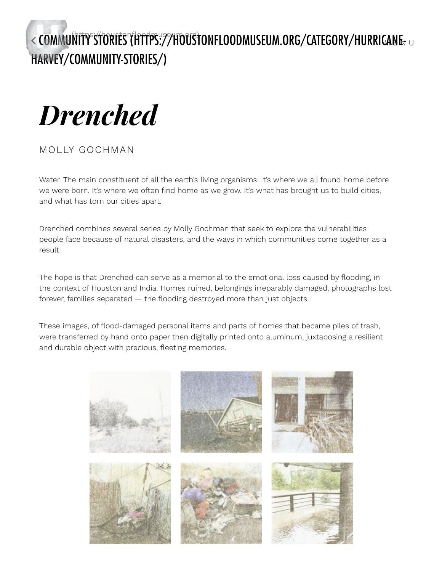< [COMMUNITY STORIES](https://houstonfloodmuseum.org/) (HTTPS://HOUSTONFLOODMUSEUM.ORG/CATEGORY/HURRICANE, HARVEY/COMMUNITY-STORIES/) wher  $\cap$ 



### MOLLY GOCHMAN

Water. The main constituent of all the earth's living organisms. It's where we all found home before we were born. It's where we often find home as we grow. It's what has brought us to build cities, and what has torn our cities apart.

Drenched combines several series by Molly Gochman that seek to explore the vulnerabilities people face because of natural disasters, and the ways in which communities come together as a result.

The hope is that Drenched can serve as a memorial to the emotional loss caused by flooding, in the context of Houston and India. Homes ruined, belongings irreparably damaged, photographs lost forever, families separated  $-$  the flooding destroyed more than just objects.

These images, of flood-damaged personal items and parts of homes that became piles of trash, were transferred by hand onto paper then digitally printed onto aluminum, juxtaposing a resilient and durable object with precious, fleeting memories.

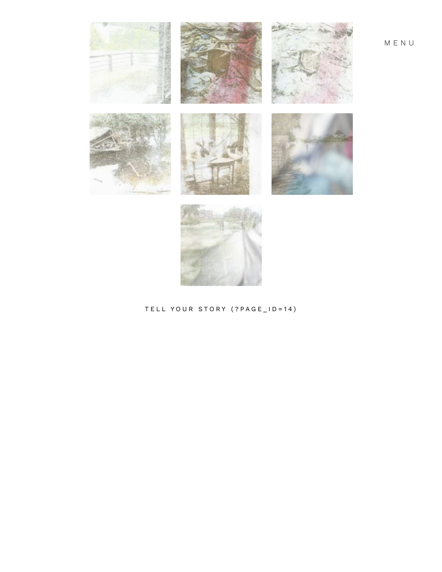

TELL YOUR STORY (?PAGE\_ID=14)

MENU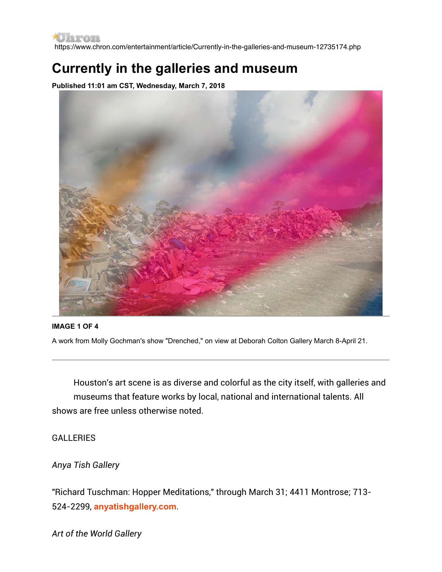https://www.chron.com/entertainment/article/Currently-in-the-galleries-and-museum-12735174.php

# **Currently in the galleries and museum**

**Published 11:01 am CST, Wednesday, March 7, 2018**



#### **IMAGE 1 OF 4**

A work from Molly Gochman's show "Drenched," on view at Deborah Colton Gallery March 8-April 21.

Houston's art scene is as diverse and colorful as the city itself, with galleries and museums that feature works by local, national and international talents. All shows are free unless otherwise noted.

**GALLERIES** 

#### *Anya Tish Gallery*

"Richard Tuschman: Hopper Meditations," through March 31; 4411 Montrose; 713- 524-2299, **[anyatishgallery.com](http://anyatishgallery.com/)**.

*Art of the World Gallery*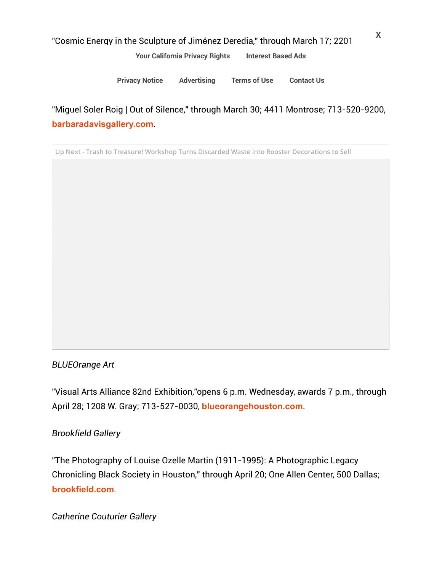#### "Cosmic Energy in the Sculpture of Jiménez Deredia," through March 17; 2201

[Your California Privacy Rights](https://www.chron.com/privacy_policy/#caprivacyrights) [Interest Based Ads](https://www.chron.com/privacy_policy/#interestbasedads)

*Barbara Davis Gallery* [Privacy Notice](https://www.chron.com/privacy_policy) [Advertising](http://marketing.chron.com/) [Terms of Use](https://www.chron.com/terms_of_use) [Contact Us](https://myaccount.houstonchronicle.com/FAQ.aspx)

"Miguel Soler Roig | Out of Silence," through March 30; 4411 Montrose; 713-520-9200, **[barbaradavisgallery.com](http://barbaradavisgallery.com/)**.

**Up Next - Trash to Treasure! Workshop Turns Discarded Waste into Rooster Decorations to Sell**

#### *BLUEOrange Art*

"Visual Arts Alliance 82nd Exhibition,"opens 6 p.m. Wednesday, awards 7 p.m., through April 28; 1208 W. Gray; 713-527-0030, **[blueorangehouston.com](http://blueorangehouston.com/)**.

#### *Brookfield Gallery*

"The Photography of Louise Ozelle Martin (1911-1995): A Photographic Legacy Chronicling Black Society in Houston," through April 20; One Allen Center, 500 Dallas; **[brookfield.com](http://brookfield.com/)**.

*Catherine Couturier Gallery*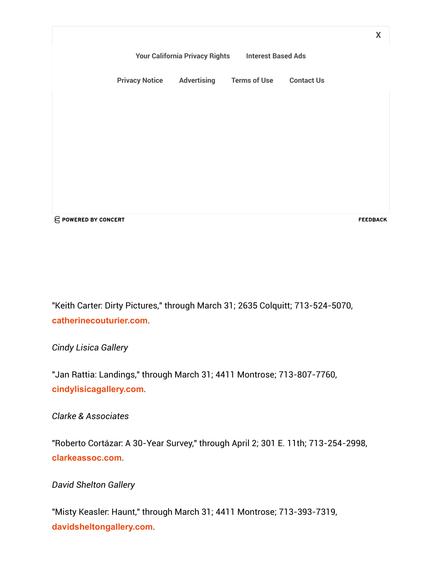X[Your California Privacy Rights](https://www.chron.com/privacy_policy/#caprivacyrights) [Interest Based Ads](https://www.chron.com/privacy_policy/#interestbasedads) [Privacy Notice](https://www.chron.com/privacy_policy) [Advertising](http://marketing.chron.com/) [Terms of Use](https://www.chron.com/terms_of_use) [Contact Us](https://myaccount.houstonchronicle.com/FAQ.aspx) **E POWERED BY CONCERT FEEDBACK** 

"Keith Carter: Dirty Pictures," through March 31; 2635 Colquitt; 713-524-5070, **[catherinecouturier.com](http://catherinecouturier.com/)**.

*Cindy Lisica Gallery*

"Jan Rattia: Landings," through March 31; 4411 Montrose; 713-807-7760, **[cindylisicagallery.com](http://cindylisicagallery.com/)**.

*Clarke & Associates*

"Roberto Cortázar: A 30-Year Survey," through April 2; 301 E. 11th; 713-254-2998, **[clarkeassoc.com](http://clarkeassoc.com/)**.

*David Shelton Gallery*

"Misty Keasler: Haunt," through March 31; 4411 Montrose; 713-393-7319, **[davidsheltongallery.com](http://davidsheltongallery.com/)**.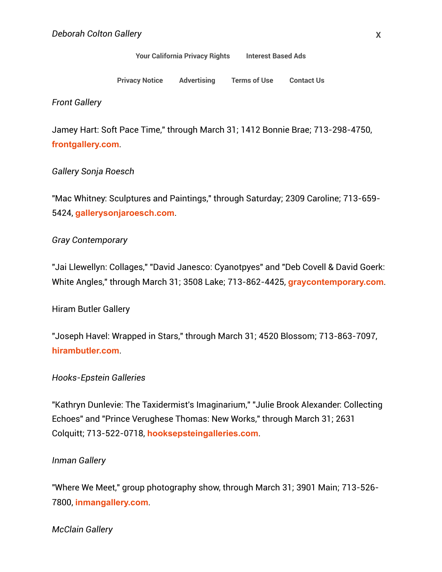#### "Molly Gold Gold Gold Gold Gold April 21; the p.m. Thursday, and the process are also the process and 21; the p Your California Privacy Rights Interest Based Ads

Advertising Terms of Use Contact Us **Privacy Notice** 

*Front Gallery*

Jamey Hart: Soft Pace Time," through March 31; 1412 Bonnie Brae; 713-298-4750, **[frontgallery.com](http://frontgallery.com/)**.

#### *Gallery Sonja Roesch*

"Mac Whitney: Sculptures and Paintings," through Saturday; 2309 Caroline; 713-659- 5424, **[gallerysonjaroesch.com](http://gallerysonjaroesch.com/)**.

#### *Gray Contemporary*

"Jai Llewellyn: Collages," "David Janesco: Cyanotpyes" and "Deb Covell & David Goerk: White Angles," through March 31; 3508 Lake; 713-862-4425, **[graycontemporary.com](http://graycontemporary.com/)**.

Hiram Butler Gallery

"Joseph Havel: Wrapped in Stars," through March 31; 4520 Blossom; 713-863-7097, **[hirambutler.com](http://hirambutler.com/)**.

#### *Hooks-Epstein Galleries*

"Kathryn Dunlevie: The Taxidermist's Imaginarium," "Julie Brook Alexander: Collecting Echoes" and "Prince Verughese Thomas: New Works," through March 31; 2631 Colquitt; 713-522-0718, **[hooksepsteingalleries.com](http://hooksepsteingalleries.com/)**.

#### *Inman Gallery*

"Where We Meet," group photography show, through March 31; 3901 Main; 713-526- 7800, **[inmangallery.com](http://inmangallery.com/)**.

*McClain Gallery*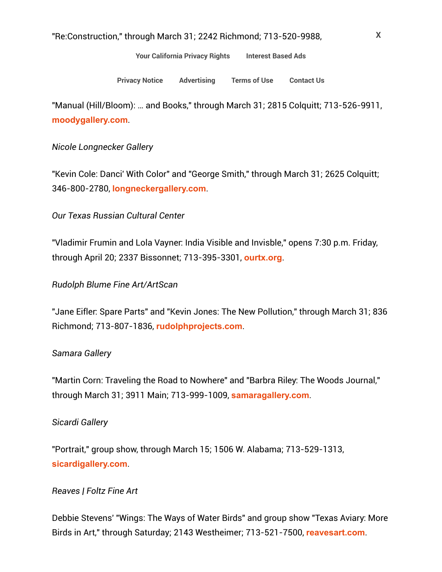[Your California Privacy Rights](https://www.chron.com/privacy_policy/#caprivacyrights) [Interest Based Ads](https://www.chron.com/privacy_policy/#interestbasedads)

[Privacy Notice](https://www.chron.com/privacy_policy) [Advertising](http://marketing.chron.com/) [Terms of Use](https://www.chron.com/terms_of_use) [Contact Us](https://myaccount.houstonchronicle.com/FAQ.aspx)

"Manual (Hill/Bloom): … and Books," through March 31; 2815 Colquitt; 713-526-9911, **[moodygallery.com](http://moodygallery.com/)**.

#### *Nicole Longnecker Gallery*

"Kevin Cole: Danci' With Color" and "George Smith," through March 31; 2625 Colquitt; 346-800-2780, **[longneckergallery.com](http://longneckergallery.com/)**.

#### *Our Texas Russian Cultural Center*

"Vladimir Frumin and Lola Vayner: India Visible and Invisble," opens 7:30 p.m. Friday, through April 20; 2337 Bissonnet; 713-395-3301, **[ourtx.org](http://ourtx.org/)**.

#### *Rudolph Blume Fine Art/ArtScan*

"Jane Eifler: Spare Parts" and "Kevin Jones: The New Pollution," through March 31; 836 Richmond; 713-807-1836, **[rudolphprojects.com](http://rudolphprojects.com/)**.

#### *Samara Gallery*

"Martin Corn: Traveling the Road to Nowhere" and "Barbra Riley: The Woods Journal," through March 31; 3911 Main; 713-999-1009, **[samaragallery.com](http://samaragallery.com/)**.

#### *Sicardi Gallery*

"Portrait," group show, through March 15; 1506 W. Alabama; 713-529-1313, **[sicardigallery.com](http://sicardigallery.com/)**.

#### *Reaves | Foltz Fine Art*

Debbie Stevens' "Wings: The Ways of Water Birds" and group show "Texas Aviary: More Birds in Art," through Saturday; 2143 Westheimer; 713-521-7500, **[reavesart.com](http://reavesart.com/)**.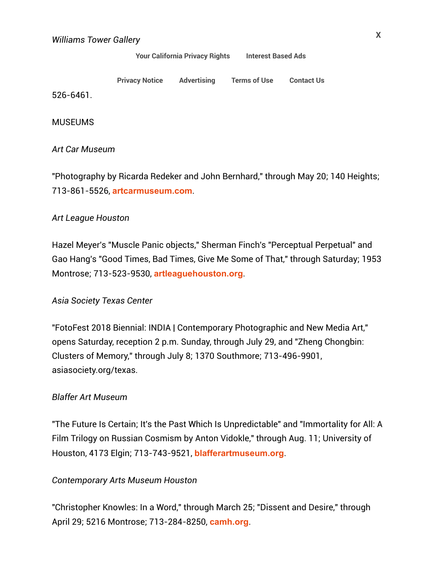[Your California Privacy Rights](https://www.chron.com/privacy_policy/#caprivacyrights) [Interest Based Ads](https://www.chron.com/privacy_policy/#interestbasedads)

| <b>Privacy Notice Advertising</b> | <b>Terms of Use Contact Us</b> |  |
|-----------------------------------|--------------------------------|--|
|                                   |                                |  |

526-6461.

**MUSEUMS** 

*Art Car Museum*

"Photography by Ricarda Redeker and John Bernhard," through May 20; 140 Heights; 713-861-5526, **[artcarmuseum.com](http://artcarmuseum.com/)**.

#### *Art League Houston*

Hazel Meyer's "Muscle Panic objects," Sherman Finch's "Perceptual Perpetual" and Gao Hang's "Good Times, Bad Times, Give Me Some of That," through Saturday; 1953 Montrose; 713-523-9530, **[artleaguehouston.org](http://artleaguehouston.org/)**.

#### *Asia Society Texas Center*

"FotoFest 2018 Biennial: INDIA | Contemporary Photographic and New Media Art," opens Saturday, reception 2 p.m. Sunday, through July 29, and "Zheng Chongbin: Clusters of Memory," through July 8; 1370 Southmore; 713-496-9901, asiasociety.org/texas.

#### *Blaffer Art Museum*

"The Future Is Certain; It's the Past Which Is Unpredictable" and "Immortality for All: A Film Trilogy on Russian Cosmism by Anton Vidokle," through Aug. 11; University of Houston, 4173 Elgin; 713-743-9521, **[blafferartmuseum.org](http://blafferartmuseum.org/)**.

#### *Contemporary Arts Museum Houston*

"Christopher Knowles: In a Word," through March 25; "Dissent and Desire," through April 29; 5216 Montrose; 713-284-8250, **[camh.org](http://camh.org/)**.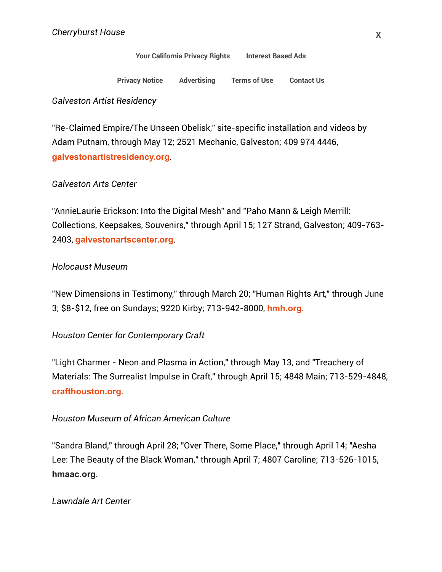## Your California Privacy Rights Interest Based Ads

**Privacy Notice** Advertising **[Terms of Use](https://www.chron.com/terms_of_use) [Contact Us](https://myaccount.houstonchronicle.com/FAQ.aspx)e** 

#### *Galveston Artist Residency*

"Re-Claimed Empire/The Unseen Obelisk," site-specific installation and videos by Adam Putnam, through May 12; 2521 Mechanic, Galveston; 409 974 4446, **[galvestonartistresidency.org](http://galvestonartistresidency.org/)**.

#### *Galveston Arts Center*

"AnnieLaurie Erickson: Into the Digital Mesh" and "Paho Mann & Leigh Merrill: Collections, Keepsakes, Souvenirs," through April 15; 127 Strand, Galveston; 409-763- 2403, **[galvestonartscenter.org](http://galvestonartscenter.org/)**.

#### *Holocaust Museum*

"New Dimensions in Testimony," through March 20; "Human Rights Art," through June 3; \$8-\$12, free on Sundays; 9220 Kirby; 713-942-8000, **[hmh.org](http://hmh.org/)**.

#### *Houston Center for Contemporary Craft*

"Light Charmer - Neon and Plasma in Action," through May 13, and "Treachery of Materials: The Surrealist Impulse in Craft," through April 15; 4848 Main; 713-529-4848, **[crafthouston.org](http://crafthouston.org/)**.

#### *Houston Museum of African American Culture*

"Sandra Bland," through April 28; "Over There, Some Place," through April 14; "Aesha Lee: The Beauty of the Black Woman," through April 7; 4807 Caroline; 713-526-1015, **[hmaac.org](http://hmaac.org/)**.

#### *Lawndale Art Center*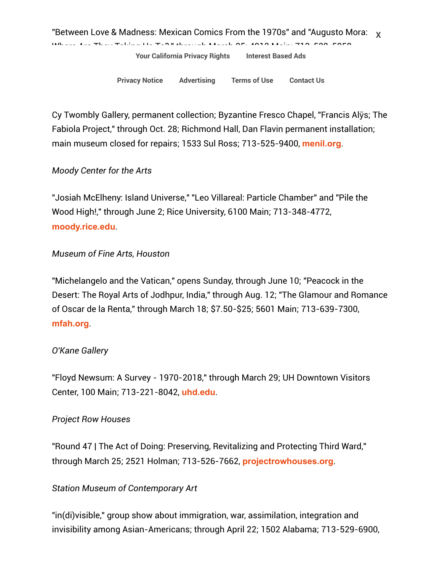[Privacy Notice](https://www.chron.com/privacy_policy) [Advertising](http://marketing.chron.com/) [Terms of Use](https://www.chron.com/terms_of_use) [Contact Us](https://myaccount.houstonchronicle.com/FAQ.aspx)

Cy Twombly Gallery, permanent collection; Byzantine Fresco Chapel, "Francis Alÿs; The Fabiola Project," through Oct. 28; Richmond Hall, Dan Flavin permanent installation; main museum closed for repairs; 1533 Sul Ross; 713-525-9400, **[menil.org](http://menil.org/)**.

#### *Moody Center for the Arts*

*Menil Collection*

"Josiah McElheny: Island Universe," "Leo Villareal: Particle Chamber" and "Pile the Wood High!," through June 2; Rice University, 6100 Main; 713-348-4772, **[moody.rice.edu](http://moody.rice.edu/)**.

#### *Museum of Fine Arts, Houston*

"Michelangelo and the Vatican," opens Sunday, through June 10; "Peacock in the Desert: The Royal Arts of Jodhpur, India," through Aug. 12; "The Glamour and Romance of Oscar de la Renta," through March 18; \$7.50-\$25; 5601 Main; 713-639-7300, **[mfah.org](http://mfah.org/)**.

#### *O'Kane Gallery*

"Floyd Newsum: A Survey - 1970-2018," through March 29; UH Downtown Visitors Center, 100 Main; 713-221-8042, **[uhd.edu](http://uhd.edu/)**.

#### *Project Row Houses*

"Round 47 | The Act of Doing: Preserving, Revitalizing and Protecting Third Ward," through March 25; 2521 Holman; 713-526-7662, **[projectrowhouses.org](http://projectrowhouses.org/)**.

#### *Station Museum of Contemporary Art*

"in(di)visible," group show about immigration, war, assimilation, integration and invisibility among Asian-Americans; through April 22; 1502 Alabama; 713-529-6900,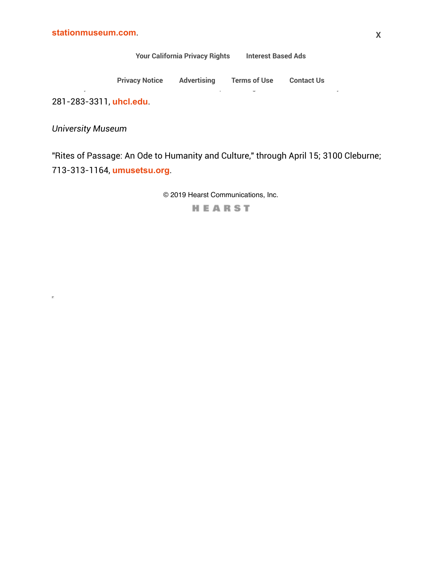[Your California Privacy Rights](https://www.chron.com/privacy_policy/#caprivacyrights) [Interest Based Ads](https://www.chron.com/privacy_policy/#interestbasedads)

"War-Toys: Israel, West Bank, and Gaza Strip, " through March 15; 2700 Bay Area Blvd.; 2700 Bay Area Blvd.; 27<br>" through March 15; 2700 Bay Area Blvd.; 2700 Bay Area Blvd.; 2700 Bay Area Blvd.; 2700 Bay Area Blvd.; 2700 B [Privacy Notice](https://www.chron.com/privacy_policy) [Advertising](http://marketing.chron.com/) [Terms of Use](https://www.chron.com/terms_of_use) [Contact Us](https://myaccount.houstonchronicle.com/FAQ.aspx)

281-283-3311, **[uhcl.edu](http://uhcl.edu/)**.

*University Museum*

 $\bar{\nu}$ 

"Rites of Passage: An Ode to Humanity and Culture," through April 15; 3100 Cleburne; 713-313-1164, **[umusetsu.org](http://umusetsu.org/)**.

© 2019 Hearst Communications, Inc.

HEARST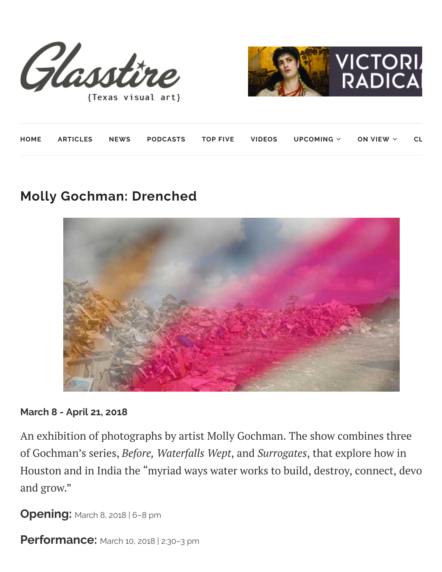



{Texas visual art}

|  |  |  | HOME ARTICLES NEWS PODCASTS TOP-FIVE VIDEOS UPCOMING $\times$ ON-VIEW $\times$ CL |  |
|--|--|--|-----------------------------------------------------------------------------------|--|
|  |  |  |                                                                                   |  |

# **Molly Gochman: Drenched**



#### **March 8 - April 21, 2018**

An exhibition of photographs by artist Molly Gochman. The show combines three of Gochman's series, *Before, Waterfalls Wept*, and *Surrogates*, that explore how in Houston and in India the "myriad ways water works to build, destroy, connect, devo and grow."

**Opening:** March 8, 2018 <sup>|</sup> 6–8 pm

**Performance:** March 10, 2018 <sup>|</sup> 2:30–3 pm